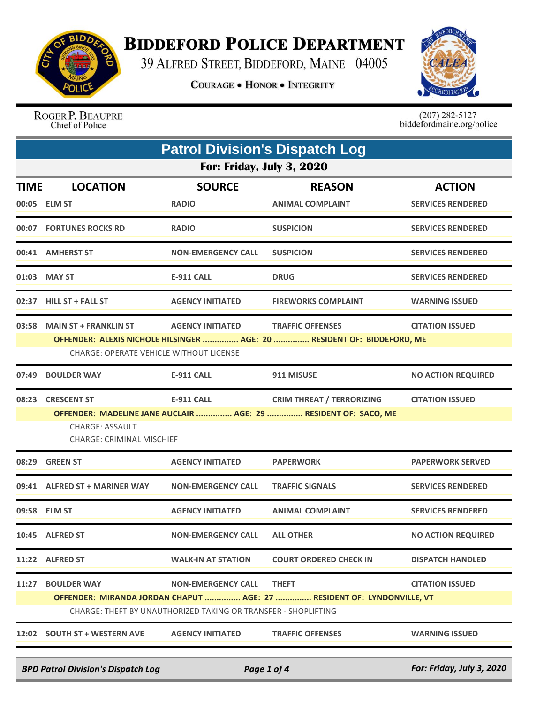

## **BIDDEFORD POLICE DEPARTMENT**

39 ALFRED STREET, BIDDEFORD, MAINE 04005

**COURAGE . HONOR . INTEGRITY** 



ROGER P. BEAUPRE Chief of Police

 $(207)$  282-5127<br>biddefordmaine.org/police

| <b>Patrol Division's Dispatch Log</b> |                                                                                                                                                                                                                                      |                               |                                                                                                     |                                           |  |  |
|---------------------------------------|--------------------------------------------------------------------------------------------------------------------------------------------------------------------------------------------------------------------------------------|-------------------------------|-----------------------------------------------------------------------------------------------------|-------------------------------------------|--|--|
|                                       | <b>For: Friday, July 3, 2020</b>                                                                                                                                                                                                     |                               |                                                                                                     |                                           |  |  |
| <u>TIME</u>                           | <b>LOCATION</b><br>00:05 ELM ST                                                                                                                                                                                                      | <b>SOURCE</b><br><b>RADIO</b> | <b>REASON</b><br><b>ANIMAL COMPLAINT</b>                                                            | <b>ACTION</b><br><b>SERVICES RENDERED</b> |  |  |
|                                       | 00:07 FORTUNES ROCKS RD                                                                                                                                                                                                              | <b>RADIO</b>                  | <b>SUSPICION</b>                                                                                    | <b>SERVICES RENDERED</b>                  |  |  |
|                                       | 00:41 AMHERST ST                                                                                                                                                                                                                     | <b>NON-EMERGENCY CALL</b>     | <b>SUSPICION</b>                                                                                    | <b>SERVICES RENDERED</b>                  |  |  |
|                                       | 01:03 MAY ST                                                                                                                                                                                                                         | <b>E-911 CALL</b>             | <b>DRUG</b>                                                                                         | <b>SERVICES RENDERED</b>                  |  |  |
|                                       | 02:37 HILL ST + FALL ST                                                                                                                                                                                                              | <b>AGENCY INITIATED</b>       | <b>FIREWORKS COMPLAINT</b>                                                                          | <b>WARNING ISSUED</b>                     |  |  |
| 03:58                                 | <b>MAIN ST + FRANKLIN ST</b><br><b>AGENCY INITIATED</b><br><b>TRAFFIC OFFENSES</b><br><b>CITATION ISSUED</b><br>OFFENDER: ALEXIS NICHOLE HILSINGER  AGE: 20  RESIDENT OF: BIDDEFORD, ME<br>CHARGE: OPERATE VEHICLE WITHOUT LICENSE   |                               |                                                                                                     |                                           |  |  |
| 07:49                                 | <b>BOULDER WAY</b>                                                                                                                                                                                                                   | <b>E-911 CALL</b>             | 911 MISUSE                                                                                          | <b>NO ACTION REQUIRED</b>                 |  |  |
| 08:23                                 | <b>CRESCENT ST</b><br><b>CHARGE: ASSAULT</b><br><b>CHARGE: CRIMINAL MISCHIEF</b>                                                                                                                                                     | <b>E-911 CALL</b>             | <b>CRIM THREAT / TERRORIZING</b><br>OFFENDER: MADELINE JANE AUCLAIR  AGE: 29  RESIDENT OF: SACO, ME | <b>CITATION ISSUED</b>                    |  |  |
|                                       | 08:29 GREEN ST                                                                                                                                                                                                                       | <b>AGENCY INITIATED</b>       | <b>PAPERWORK</b>                                                                                    | <b>PAPERWORK SERVED</b>                   |  |  |
|                                       | 09:41 ALFRED ST + MARINER WAY                                                                                                                                                                                                        | <b>NON-EMERGENCY CALL</b>     | <b>TRAFFIC SIGNALS</b>                                                                              | <b>SERVICES RENDERED</b>                  |  |  |
|                                       | 09:58 ELM ST                                                                                                                                                                                                                         | <b>AGENCY INITIATED</b>       | <b>ANIMAL COMPLAINT</b>                                                                             | <b>SERVICES RENDERED</b>                  |  |  |
|                                       | 10:45 ALFRED ST                                                                                                                                                                                                                      | NON-EMERGENCY CALL            | <b>ALL OTHER</b>                                                                                    | <b>NO ACTION REQUIRED</b>                 |  |  |
|                                       | 11:22 ALFRED ST                                                                                                                                                                                                                      | <b>WALK-IN AT STATION</b>     | <b>COURT ORDERED CHECK IN</b>                                                                       | <b>DISPATCH HANDLED</b>                   |  |  |
|                                       | <b>THEFT</b><br>11:27 BOULDER WAY<br><b>NON-EMERGENCY CALL</b><br><b>CITATION ISSUED</b><br>OFFENDER: MIRANDA JORDAN CHAPUT  AGE: 27  RESIDENT OF: LYNDONVILLE, VT<br>CHARGE: THEFT BY UNAUTHORIZED TAKING OR TRANSFER - SHOPLIFTING |                               |                                                                                                     |                                           |  |  |
|                                       | 12:02 SOUTH ST + WESTERN AVE                                                                                                                                                                                                         | <b>AGENCY INITIATED</b>       | <b>TRAFFIC OFFENSES</b>                                                                             | <b>WARNING ISSUED</b>                     |  |  |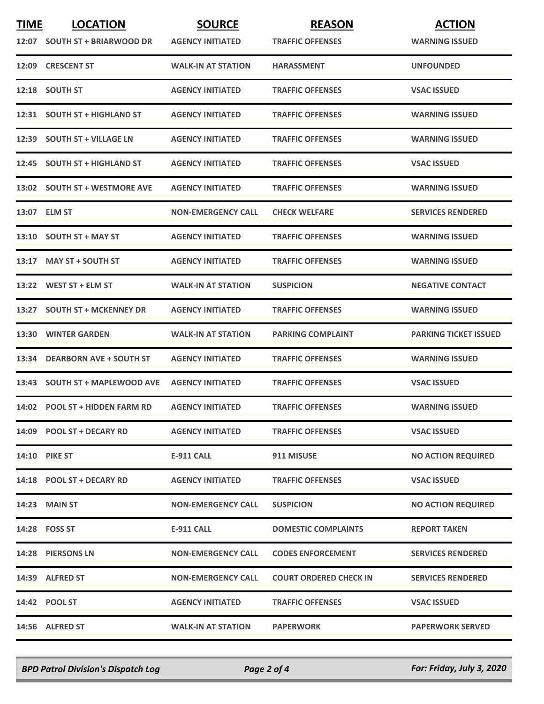| <b>TIME</b> | <b>LOCATION</b>                | <b>SOURCE</b>             | <b>REASON</b>                 | <b>ACTION</b>                |
|-------------|--------------------------------|---------------------------|-------------------------------|------------------------------|
|             | 12:07 SOUTH ST + BRIARWOOD DR  | <b>AGENCY INITIATED</b>   | <b>TRAFFIC OFFENSES</b>       | <b>WARNING ISSUED</b>        |
|             | 12:09 CRESCENT ST              | <b>WALK-IN AT STATION</b> | <b>HARASSMENT</b>             | <b>UNFOUNDED</b>             |
|             | 12:18 SOUTH ST                 | <b>AGENCY INITIATED</b>   | <b>TRAFFIC OFFENSES</b>       | <b>VSAC ISSUED</b>           |
|             | 12:31 SOUTH ST + HIGHLAND ST   | <b>AGENCY INITIATED</b>   | <b>TRAFFIC OFFENSES</b>       | <b>WARNING ISSUED</b>        |
|             | 12:39 SOUTH ST + VILLAGE LN    | <b>AGENCY INITIATED</b>   | <b>TRAFFIC OFFENSES</b>       | <b>WARNING ISSUED</b>        |
|             | 12:45 SOUTH ST + HIGHLAND ST   | <b>AGENCY INITIATED</b>   | <b>TRAFFIC OFFENSES</b>       | <b>VSAC ISSUED</b>           |
|             | 13:02 SOUTH ST + WESTMORE AVE  | <b>AGENCY INITIATED</b>   | <b>TRAFFIC OFFENSES</b>       | <b>WARNING ISSUED</b>        |
|             | 13:07 ELM ST                   | <b>NON-EMERGENCY CALL</b> | <b>CHECK WELFARE</b>          | <b>SERVICES RENDERED</b>     |
|             | 13:10 SOUTH ST + MAY ST        | <b>AGENCY INITIATED</b>   | <b>TRAFFIC OFFENSES</b>       | <b>WARNING ISSUED</b>        |
| 13:17       | <b>MAY ST + SOUTH ST</b>       | <b>AGENCY INITIATED</b>   | <b>TRAFFIC OFFENSES</b>       | <b>WARNING ISSUED</b>        |
|             | $13:22$ WEST ST + ELM ST       | <b>WALK-IN AT STATION</b> | <b>SUSPICION</b>              | <b>NEGATIVE CONTACT</b>      |
| 13:27       | <b>SOUTH ST + MCKENNEY DR</b>  | <b>AGENCY INITIATED</b>   | <b>TRAFFIC OFFENSES</b>       | <b>WARNING ISSUED</b>        |
|             | <b>13:30 WINTER GARDEN</b>     | <b>WALK-IN AT STATION</b> | <b>PARKING COMPLAINT</b>      | <b>PARKING TICKET ISSUED</b> |
| 13:34       | <b>DEARBORN AVE + SOUTH ST</b> | <b>AGENCY INITIATED</b>   | <b>TRAFFIC OFFENSES</b>       | <b>WARNING ISSUED</b>        |
|             | 13:43 SOUTH ST + MAPLEWOOD AVE | <b>AGENCY INITIATED</b>   | <b>TRAFFIC OFFENSES</b>       | <b>VSAC ISSUED</b>           |
|             | 14:02 POOL ST + HIDDEN FARM RD | <b>AGENCY INITIATED</b>   | <b>TRAFFIC OFFENSES</b>       | <b>WARNING ISSUED</b>        |
|             | 14:09 POOL ST + DECARY RD      | <b>AGENCY INITIATED</b>   | <b>TRAFFIC OFFENSES</b>       | <b>VSAC ISSUED</b>           |
|             | <b>14:10 PIKE ST</b>           | E-911 CALL                | 911 MISUSE                    | <b>NO ACTION REQUIRED</b>    |
|             | 14:18 POOL ST + DECARY RD      | <b>AGENCY INITIATED</b>   | <b>TRAFFIC OFFENSES</b>       | <b>VSAC ISSUED</b>           |
|             | <b>14:23 MAIN ST</b>           | <b>NON-EMERGENCY CALL</b> | <b>SUSPICION</b>              | <b>NO ACTION REQUIRED</b>    |
|             | 14:28 FOSS ST                  | E-911 CALL                | <b>DOMESTIC COMPLAINTS</b>    | <b>REPORT TAKEN</b>          |
|             | 14:28 PIERSONS LN              | <b>NON-EMERGENCY CALL</b> | <b>CODES ENFORCEMENT</b>      | <b>SERVICES RENDERED</b>     |
|             | 14:39 ALFRED ST                | <b>NON-EMERGENCY CALL</b> | <b>COURT ORDERED CHECK IN</b> | <b>SERVICES RENDERED</b>     |
|             | 14:42 POOL ST                  | <b>AGENCY INITIATED</b>   | <b>TRAFFIC OFFENSES</b>       | <b>VSAC ISSUED</b>           |
|             | 14:56 ALFRED ST                | <b>WALK-IN AT STATION</b> | <b>PAPERWORK</b>              | <b>PAPERWORK SERVED</b>      |

*BPD Patrol Division's Dispatch Log Page 2 of 4 For: Friday, July 3, 2020*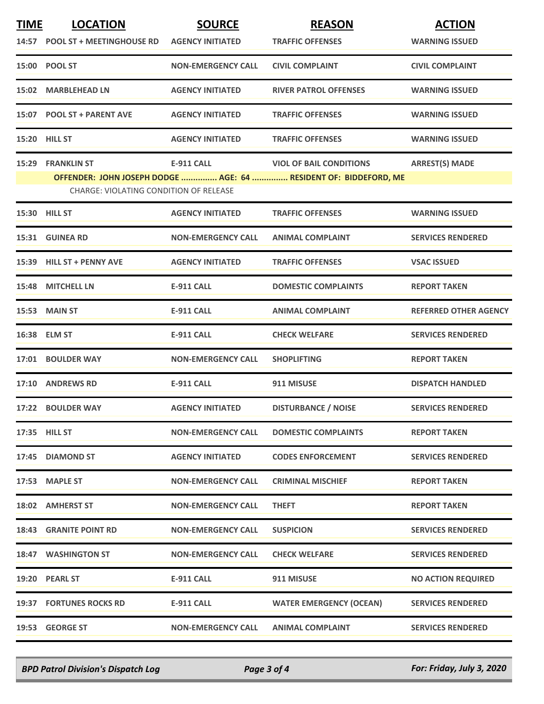| <b>TIME</b> | <b>LOCATION</b><br>14:57 POOL ST + MEETINGHOUSE RD                 | <b>SOURCE</b><br><b>AGENCY INITIATED</b> | <b>REASON</b><br><b>TRAFFIC OFFENSES</b>                                                           | <b>ACTION</b><br><b>WARNING ISSUED</b> |
|-------------|--------------------------------------------------------------------|------------------------------------------|----------------------------------------------------------------------------------------------------|----------------------------------------|
|             | 15:00 POOL ST                                                      | <b>NON-EMERGENCY CALL</b>                | <b>CIVIL COMPLAINT</b>                                                                             | <b>CIVIL COMPLAINT</b>                 |
|             | 15:02 MARBLEHEAD LN                                                | <b>AGENCY INITIATED</b>                  | <b>RIVER PATROL OFFENSES</b>                                                                       | <b>WARNING ISSUED</b>                  |
|             | 15:07 POOL ST + PARENT AVE                                         | <b>AGENCY INITIATED</b>                  | <b>TRAFFIC OFFENSES</b>                                                                            | <b>WARNING ISSUED</b>                  |
|             | 15:20 HILL ST                                                      | <b>AGENCY INITIATED</b>                  | <b>TRAFFIC OFFENSES</b>                                                                            | <b>WARNING ISSUED</b>                  |
|             | <b>15:29 FRANKLIN ST</b><br>CHARGE: VIOLATING CONDITION OF RELEASE | <b>E-911 CALL</b>                        | <b>VIOL OF BAIL CONDITIONS</b><br>OFFENDER: JOHN JOSEPH DODGE  AGE: 64  RESIDENT OF: BIDDEFORD, ME | <b>ARREST(S) MADE</b>                  |
|             | <b>15:30 HILL ST</b>                                               | <b>AGENCY INITIATED</b>                  | <b>TRAFFIC OFFENSES</b>                                                                            | <b>WARNING ISSUED</b>                  |
|             | 15:31 GUINEA RD                                                    | <b>NON-EMERGENCY CALL</b>                | <b>ANIMAL COMPLAINT</b>                                                                            | <b>SERVICES RENDERED</b>               |
|             | 15:39 HILL ST + PENNY AVE                                          | <b>AGENCY INITIATED</b>                  | <b>TRAFFIC OFFENSES</b>                                                                            | <b>VSAC ISSUED</b>                     |
|             | 15:48 MITCHELL LN                                                  | E-911 CALL                               | <b>DOMESTIC COMPLAINTS</b>                                                                         | <b>REPORT TAKEN</b>                    |
|             | 15:53 MAIN ST                                                      | E-911 CALL                               | <b>ANIMAL COMPLAINT</b>                                                                            | <b>REFERRED OTHER AGENCY</b>           |
|             | 16:38 ELM ST                                                       | <b>E-911 CALL</b>                        | <b>CHECK WELFARE</b>                                                                               | <b>SERVICES RENDERED</b>               |
|             | 17:01 BOULDER WAY                                                  | <b>NON-EMERGENCY CALL</b>                | <b>SHOPLIFTING</b>                                                                                 | <b>REPORT TAKEN</b>                    |
|             | 17:10 ANDREWS RD                                                   | E-911 CALL                               | 911 MISUSE                                                                                         | <b>DISPATCH HANDLED</b>                |
|             | 17:22 BOULDER WAY                                                  | <b>AGENCY INITIATED</b>                  | <b>DISTURBANCE / NOISE</b>                                                                         | <b>SERVICES RENDERED</b>               |
|             | 17:35 HILL ST                                                      | <b>NON-EMERGENCY CALL</b>                | <b>DOMESTIC COMPLAINTS</b>                                                                         | <b>REPORT TAKEN</b>                    |
|             | 17:45 DIAMOND ST                                                   | <b>AGENCY INITIATED</b>                  | <b>CODES ENFORCEMENT</b>                                                                           | <b>SERVICES RENDERED</b>               |
|             | 17:53 MAPLE ST                                                     | <b>NON-EMERGENCY CALL</b>                | <b>CRIMINAL MISCHIEF</b>                                                                           | <b>REPORT TAKEN</b>                    |
|             | 18:02 AMHERST ST                                                   | <b>NON-EMERGENCY CALL</b>                | <b>THEFT</b>                                                                                       | <b>REPORT TAKEN</b>                    |
|             | <b>18:43 GRANITE POINT RD</b>                                      | <b>NON-EMERGENCY CALL</b>                | <b>SUSPICION</b>                                                                                   | <b>SERVICES RENDERED</b>               |
|             | 18:47 WASHINGTON ST                                                | <b>NON-EMERGENCY CALL</b>                | <b>CHECK WELFARE</b>                                                                               | <b>SERVICES RENDERED</b>               |
|             | 19:20 PEARL ST                                                     | <b>E-911 CALL</b>                        | 911 MISUSE                                                                                         | <b>NO ACTION REQUIRED</b>              |
|             | 19:37 FORTUNES ROCKS RD                                            | <b>E-911 CALL</b>                        | <b>WATER EMERGENCY (OCEAN)</b>                                                                     | <b>SERVICES RENDERED</b>               |
|             | 19:53 GEORGE ST                                                    | <b>NON-EMERGENCY CALL</b>                | <b>ANIMAL COMPLAINT</b>                                                                            | <b>SERVICES RENDERED</b>               |

*BPD Patrol Division's Dispatch Log Page 3 of 4 For: Friday, July 3, 2020*